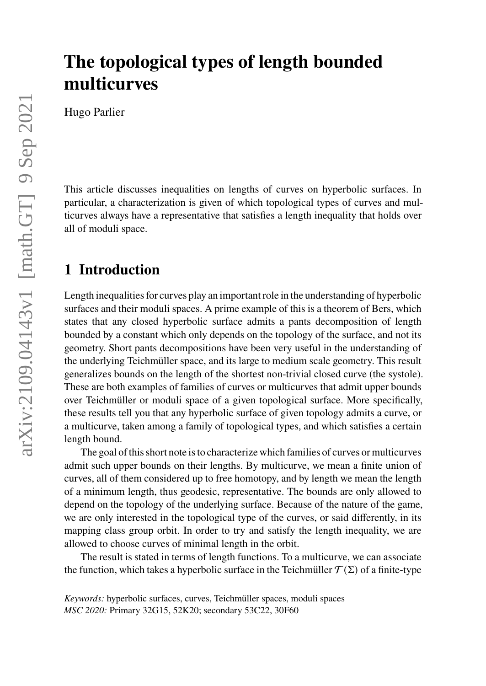# **The topological types of length bounded multicurves**

Hugo Parlier

This article discusses inequalities on lengths of curves on hyperbolic surfaces. In particular, a characterization is given of which topological types of curves and multicurves always have a representative that satisfies a length inequality that holds over all of moduli space.

### **1 Introduction**

Length inequalities for curves play an important role in the understanding of hyperbolic surfaces and their moduli spaces. A prime example of this is a theorem of Bers, which states that any closed hyperbolic surface admits a pants decomposition of length bounded by a constant which only depends on the topology of the surface, and not its geometry. Short pants decompositions have been very useful in the understanding of the underlying Teichmüller space, and its large to medium scale geometry. This result generalizes bounds on the length of the shortest non-trivial closed curve (the systole). These are both examples of families of curves or multicurves that admit upper bounds over Teichmüller or moduli space of a given topological surface. More specifically, these results tell you that any hyperbolic surface of given topology admits a curve, or a multicurve, taken among a family of topological types, and which satisfies a certain length bound.

The goal of this short note is to characterize which families of curves or multicurves admit such upper bounds on their lengths. By multicurve, we mean a finite union of curves, all of them considered up to free homotopy, and by length we mean the length of a minimum length, thus geodesic, representative. The bounds are only allowed to depend on the topology of the underlying surface. Because of the nature of the game, we are only interested in the topological type of the curves, or said differently, in its mapping class group orbit. In order to try and satisfy the length inequality, we are allowed to choose curves of minimal length in the orbit.

The result is stated in terms of length functions. To a multicurve, we can associate the function, which takes a hyperbolic surface in the Teichmüller  $\mathcal{T}(\Sigma)$  of a finite-type

*Keywords:* hyperbolic surfaces, curves, Teichmüller spaces, moduli spaces *MSC 2020:* Primary 32G15, 52K20; secondary 53C22, 30F60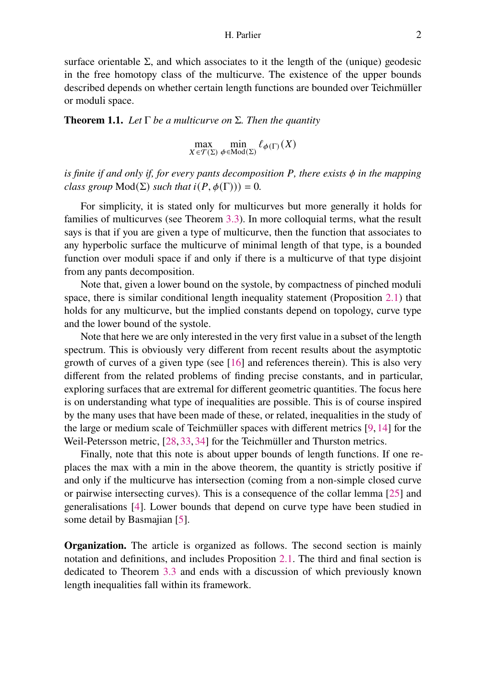surface orientable  $\Sigma$ , and which associates to it the length of the (unique) geodesic in the free homotopy class of the multicurve. The existence of the upper bounds described depends on whether certain length functions are bounded over Teichmüller or moduli space.

<span id="page-1-0"></span>**Theorem 1.1.** *Let* Γ *be a multicurve on* Σ*. Then the quantity*

$$
\max_{X \in \mathcal{T}(\Sigma)} \min_{\phi \in \text{Mod}(\Sigma)} \ell_{\phi(\Gamma)}(X)
$$

*is finite if and only if, for every pants decomposition*  $P$ *, there exists*  $\phi$  *in the mapping class group*  $Mod(\Sigma)$  *such that*  $i(P, \phi(\Gamma))) = 0$ *.* 

For simplicity, it is stated only for multicurves but more generally it holds for families of multicurves (see Theorem [3.3\)](#page-7-0). In more colloquial terms, what the result says is that if you are given a type of multicurve, then the function that associates to any hyperbolic surface the multicurve of minimal length of that type, is a bounded function over moduli space if and only if there is a multicurve of that type disjoint from any pants decomposition.

Note that, given a lower bound on the systole, by compactness of pinched moduli space, there is similar conditional length inequality statement (Proposition [2.1\)](#page-3-0) that holds for any multicurve, but the implied constants depend on topology, curve type and the lower bound of the systole.

Note that here we are only interested in the very first value in a subset of the length spectrum. This is obviously very different from recent results about the asymptotic growth of curves of a given type (see [\[16\]](#page-10-0) and references therein). This is also very different from the related problems of finding precise constants, and in particular, exploring surfaces that are extremal for different geometric quantities. The focus here is on understanding what type of inequalities are possible. This is of course inspired by the many uses that have been made of these, or related, inequalities in the study of the large or medium scale of Teichmüller spaces with different metrics [\[9,](#page-10-1) [14\]](#page-10-2) for the Weil-Petersson metric, [\[28,](#page-11-0) [33,](#page-11-1) [34\]](#page-11-2) for the Teichmüller and Thurston metrics.

Finally, note that this note is about upper bounds of length functions. If one replaces the max with a min in the above theorem, the quantity is strictly positive if and only if the multicurve has intersection (coming from a non-simple closed curve or pairwise intersecting curves). This is a consequence of the collar lemma [\[25\]](#page-11-3) and generalisations [\[4\]](#page-10-3). Lower bounds that depend on curve type have been studied in some detail by Basmajian [\[5\]](#page-10-4).

**Organization.** The article is organized as follows. The second section is mainly notation and definitions, and includes Proposition [2.1.](#page-3-0) The third and final section is dedicated to Theorem [3.3](#page-7-0) and ends with a discussion of which previously known length inequalities fall within its framework.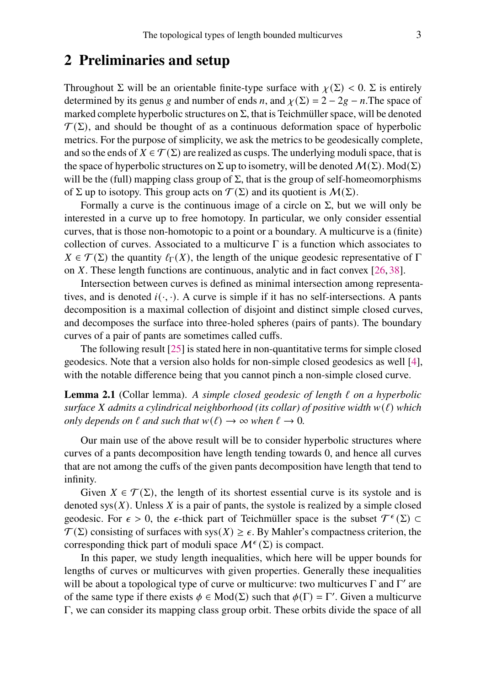#### **2 Preliminaries and setup**

Throughout  $\Sigma$  will be an orientable finite-type surface with  $\chi(\Sigma) < 0$ . Σ is entirely determined by its genus g and number of ends n, and  $\chi(\Sigma) = 2 - 2g - n$ . The space of marked complete hyperbolic structures on  $\Sigma$ , that is Teichmüller space, will be denoted  $\mathcal{T}(\Sigma)$ , and should be thought of as a continuous deformation space of hyperbolic metrics. For the purpose of simplicity, we ask the metrics to be geodesically complete, and so the ends of  $X \in \mathcal{T}(\Sigma)$  are realized as cusps. The underlying moduli space, that is the space of hyperbolic structures on  $\Sigma$  up to isometry, will be denoted  $M(\Sigma)$ . Mod( $\Sigma$ ) will be the (full) mapping class group of  $\Sigma$ , that is the group of self-homeomorphisms of  $\Sigma$  up to isotopy. This group acts on  $\mathcal{T}(\Sigma)$  and its quotient is  $\mathcal{M}(\Sigma)$ .

Formally a curve is the continuous image of a circle on  $\Sigma$ , but we will only be interested in a curve up to free homotopy. In particular, we only consider essential curves, that is those non-homotopic to a point or a boundary. A multicurve is a (finite) collection of curves. Associated to a multicurve  $\Gamma$  is a function which associates to  $X \in \mathcal{T}(\Sigma)$  the quantity  $\ell_{\Gamma}(X)$ , the length of the unique geodesic representative of  $\Gamma$ on  $X$ . These length functions are continuous, analytic and in fact convex [\[26,](#page-11-4) [38\]](#page-12-0).

Intersection between curves is defined as minimal intersection among representatives, and is denoted  $i(\cdot, \cdot)$ . A curve is simple if it has no self-intersections. A pants decomposition is a maximal collection of disjoint and distinct simple closed curves, and decomposes the surface into three-holed spheres (pairs of pants). The boundary curves of a pair of pants are sometimes called cuffs.

The following result [\[25\]](#page-11-3) is stated here in non-quantitative terms for simple closed geodesics. Note that a version also holds for non-simple closed geodesics as well [\[4\]](#page-10-3), with the notable difference being that you cannot pinch a non-simple closed curve.

<span id="page-2-0"></span>**Lemma 2.1** (Collar lemma). *A simple closed geodesic of length* ℓ *on a hyperbolic surface X* admits a cylindrical neighborhood (its collar) of positive width  $w(\ell)$  *which only depends on*  $\ell$  *and such that*  $w(\ell) \to \infty$  *when*  $\ell \to 0$ *.* 

Our main use of the above result will be to consider hyperbolic structures where curves of a pants decomposition have length tending towards 0, and hence all curves that are not among the cuffs of the given pants decomposition have length that tend to infinity.

Given  $X \in \mathcal{T}(\Sigma)$ , the length of its shortest essential curve is its systole and is denoted  $sys(X)$ . Unless X is a pair of pants, the systole is realized by a simple closed geodesic. For  $\epsilon > 0$ , the  $\epsilon$ -thick part of Teichmüller space is the subset  $\mathcal{T}^{\epsilon}(\Sigma) \subset$  $\mathcal{T}(\Sigma)$  consisting of surfaces with sys $(X) \geq \epsilon$ . By Mahler's compactness criterion, the corresponding thick part of moduli space  $\mathcal{M}^{\epsilon}(\Sigma)$  is compact.

In this paper, we study length inequalities, which here will be upper bounds for lengths of curves or multicurves with given properties. Generally these inequalities will be about a topological type of curve or multicurve: two multicurves  $\Gamma$  and  $\Gamma'$  are of the same type if there exists  $\phi \in Mod(\Sigma)$  such that  $\phi(\Gamma) = \Gamma'$ . Given a multicurve Γ, we can consider its mapping class group orbit. These orbits divide the space of all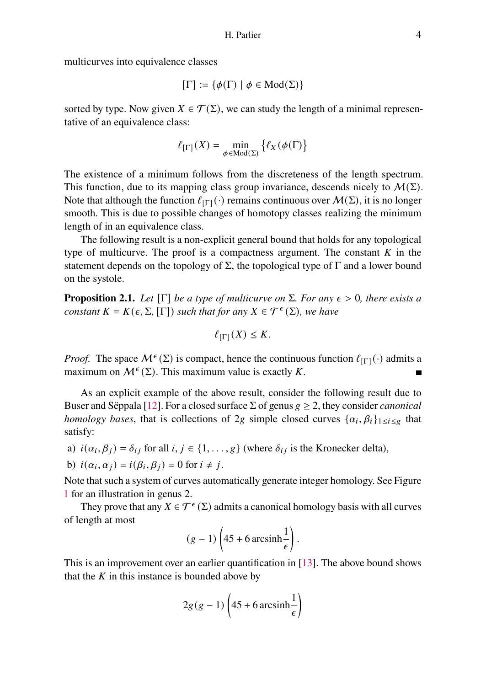multicurves into equivalence classes

$$
[\Gamma]:=\{\phi(\Gamma)\mid \phi\in\mathrm{Mod}(\Sigma)\}
$$

sorted by type. Now given  $X \in \mathcal{T}(\Sigma)$ , we can study the length of a minimal representative of an equivalence class:

$$
\ell_{[\Gamma]}(X) = \min_{\phi \in \text{Mod}(\Sigma)} \{ \ell_X(\phi(\Gamma)) \}
$$

The existence of a minimum follows from the discreteness of the length spectrum. This function, due to its mapping class group invariance, descends nicely to  $M(\Sigma)$ . Note that although the function  $\ell_{[\Gamma]}(\cdot)$  remains continuous over  $\mathcal{M}(\Sigma)$ , it is no longer smooth. This is due to possible changes of homotopy classes realizing the minimum length of in an equivalence class.

The following result is a non-explicit general bound that holds for any topological type of multicurve. The proof is a compactness argument. The constant  $K$  in the statement depends on the topology of  $\Sigma$ , the topological type of  $\Gamma$  and a lower bound on the systole.

<span id="page-3-0"></span>**Proposition 2.1.** *Let*  $[\Gamma]$  *be a type of multicurve on*  $\Sigma$ *. For any*  $\epsilon > 0$ *, there exists a constant*  $K = K(\epsilon, \Sigma, [\Gamma])$  *such that for any*  $X \in \mathcal{T}^{\epsilon}(\Sigma)$ *, we have* 

$$
\ell_{[\Gamma]}(X) \leq K.
$$

*Proof.* The space  $M^{\epsilon}(\Sigma)$  is compact, hence the continuous function  $\ell_{[\Gamma]}(\cdot)$  admits a maximum on  $\mathcal{M}^{\epsilon}(\Sigma)$ . This maximum value is exactly K.

As an explicit example of the above result, consider the following result due to Buser and Sëppala [\[12\]](#page-10-5). For a closed surface  $\Sigma$  of genus  $g \ge 2$ , they consider *canonical homology bases*, that is collections of 2*g* simple closed curves  $\{\alpha_i, \beta_i\}_{1 \le i \le g}$  that satisfy:

a)  $i(\alpha_i, \beta_j) = \delta_{ij}$  for all  $i, j \in \{1, \dots, g\}$  (where  $\delta_{ij}$  is the Kronecker delta),

b) 
$$
i(\alpha_i, \alpha_j) = i(\beta_i, \beta_j) = 0
$$
 for  $i \neq j$ .

Note that such a system of curves automatically generate integer homology. See Figure [1](#page-4-0) for an illustration in genus 2.

They prove that any  $X \in \mathcal{T}^{\epsilon}(\Sigma)$  admits a canonical homology basis with all curves of length at most

$$
(g-1)\left(45+6\operatorname{arcsinh}\frac{1}{\epsilon}\right).
$$

This is an improvement over an earlier quantification in [\[13\]](#page-10-6). The above bound shows that the  $K$  in this instance is bounded above by

$$
2g(g-1)\left(45 + 6\arcsinh\frac{1}{\epsilon}\right)
$$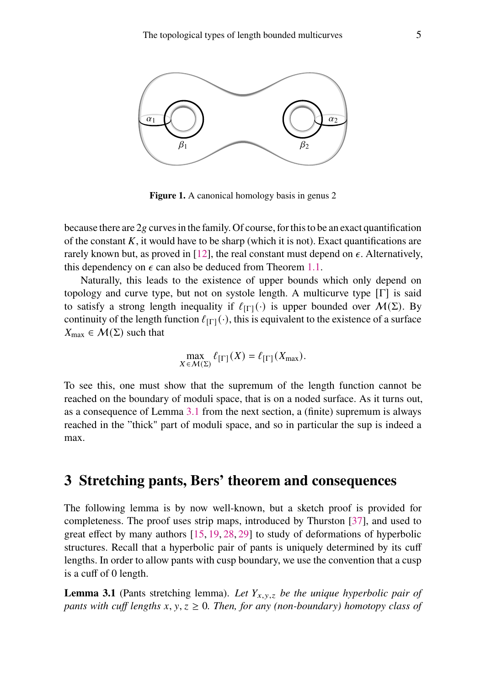<span id="page-4-0"></span>

**Figure 1.** A canonical homology basis in genus 2

because there are  $2g$  curves in the family. Of course, for this to be an exact quantification of the constant  $K$ , it would have to be sharp (which it is not). Exact quantifications are rarely known but, as proved in [\[12\]](#page-10-5), the real constant must depend on  $\epsilon$ . Alternatively, this dependency on  $\epsilon$  can also be deduced from Theorem [1.1.](#page-1-0)

Naturally, this leads to the existence of upper bounds which only depend on topology and curve type, but not on systole length. A multicurve type  $[\Gamma]$  is said to satisfy a strong length inequality if  $\ell_{\text{IT}}(\cdot)$  is upper bounded over  $\mathcal{M}(\Sigma)$ . By continuity of the length function  $\ell_{\text{[}}\Gamma\text{[}}(\cdot)$ , this is equivalent to the existence of a surface  $X_{\text{max}} \in \mathcal{M}(\Sigma)$  such that

$$
\max_{X \in \mathcal{M}(\Sigma)} \ell_{[\Gamma]}(X) = \ell_{[\Gamma]}(X_{\max}).
$$

To see this, one must show that the supremum of the length function cannot be reached on the boundary of moduli space, that is on a noded surface. As it turns out, as a consequence of Lemma [3.1](#page-4-1) from the next section, a (finite) supremum is always reached in the "thick" part of moduli space, and so in particular the sup is indeed a max.

#### **3 Stretching pants, Bers' theorem and consequences**

The following lemma is by now well-known, but a sketch proof is provided for completeness. The proof uses strip maps, introduced by Thurston [\[37\]](#page-12-1), and used to great effect by many authors [\[15,](#page-10-7) [19,](#page-11-5) [28,](#page-11-0) [29\]](#page-11-6) to study of deformations of hyperbolic structures. Recall that a hyperbolic pair of pants is uniquely determined by its cuff lengths. In order to allow pants with cusp boundary, we use the convention that a cusp is a cuff of 0 length.

<span id="page-4-1"></span>**Lemma 3.1** (Pants stretching lemma). Let  $Y_{x,y,z}$  be the unique hyperbolic pair of *pants with cuff lengths*  $x, y, z \geq 0$ *. Then, for any (non-boundary) homotopy class of*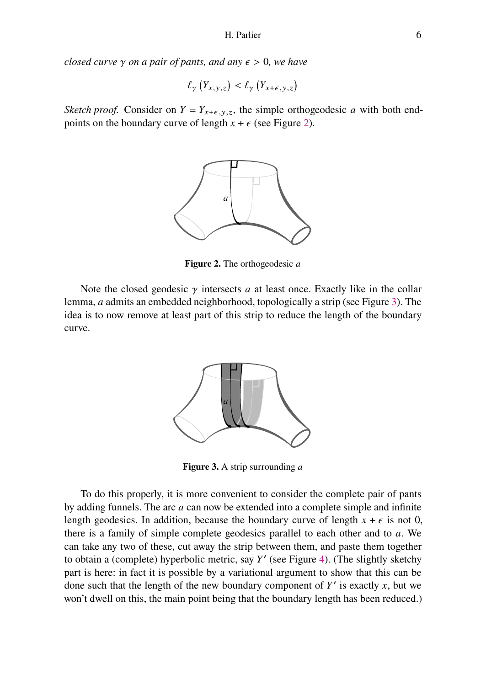*closed curve*  $\gamma$  *on a pair of pants, and any*  $\epsilon > 0$ *, we have* 

$$
\ell_{\gamma}\left(Y_{x,y,z}\right) < \ell_{\gamma}\left(Y_{x+\epsilon,y,z}\right)
$$

<span id="page-5-0"></span>*Sketch proof.* Consider on  $Y = Y_{x+\epsilon, y,z}$ , the simple orthogeodesic a with both endpoints on the boundary curve of length  $x + \epsilon$  (see Figure [2\)](#page-5-0).



**Figure 2.** The orthogeodesic a

<span id="page-5-1"></span>Note the closed geodesic  $\gamma$  intersects a at least once. Exactly like in the collar lemma, *a* admits an embedded neighborhood, topologically a strip (see Figure [3\)](#page-5-1). The idea is to now remove at least part of this strip to reduce the length of the boundary curve.



**Figure 3.** A strip surrounding a

To do this properly, it is more convenient to consider the complete pair of pants by adding funnels. The arc  $a$  can now be extended into a complete simple and infinite length geodesics. In addition, because the boundary curve of length  $x + \epsilon$  is not 0, there is a family of simple complete geodesics parallel to each other and to  $a$ . We can take any two of these, cut away the strip between them, and paste them together to obtain a (complete) hyperbolic metric, say  $Y'$  (see Figure [4\)](#page-6-0). (The slightly sketchy part is here: in fact it is possible by a variational argument to show that this can be done such that the length of the new boundary component of  $Y'$  is exactly  $x$ , but we won't dwell on this, the main point being that the boundary length has been reduced.)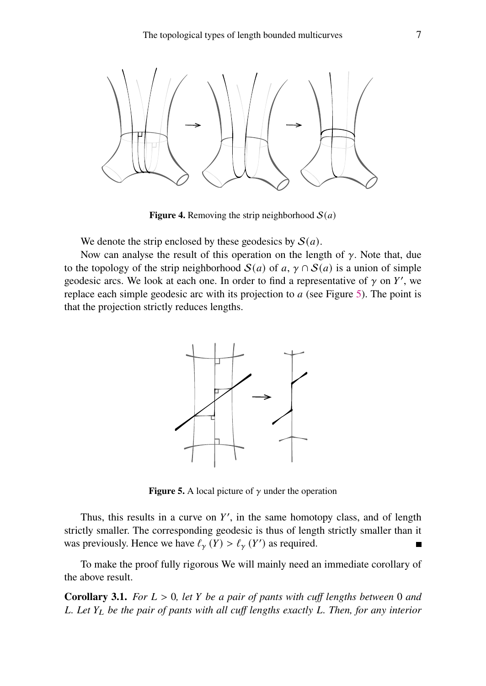<span id="page-6-0"></span>

**Figure 4.** Removing the strip neighborhood  $S(a)$ 

We denote the strip enclosed by these geodesics by  $S(a)$ .

<span id="page-6-1"></span>Now can analyse the result of this operation on the length of  $\gamma$ . Note that, due to the topology of the strip neighborhood  $S(a)$  of a,  $\gamma \cap S(a)$  is a union of simple geodesic arcs. We look at each one. In order to find a representative of  $\gamma$  on Y', we replace each simple geodesic arc with its projection to  $a$  (see Figure [5\)](#page-6-1). The point is that the projection strictly reduces lengths.



**Figure 5.** A local picture of  $\gamma$  under the operation

Thus, this results in a curve on  $Y'$ , in the same homotopy class, and of length strictly smaller. The corresponding geodesic is thus of length strictly smaller than it was previously. Hence we have  $\ell_{\gamma}(Y) > \ell_{\gamma}(Y')$  as required.

To make the proof fully rigorous We will mainly need an immediate corollary of the above result.

<span id="page-6-2"></span>**Corollary 3.1.** *For*  $L > 0$ *, let*  $Y$  *be a pair of pants with cuff lengths between* 0 *and . Let be the pair of pants with all cuff lengths exactly . Then, for any interior*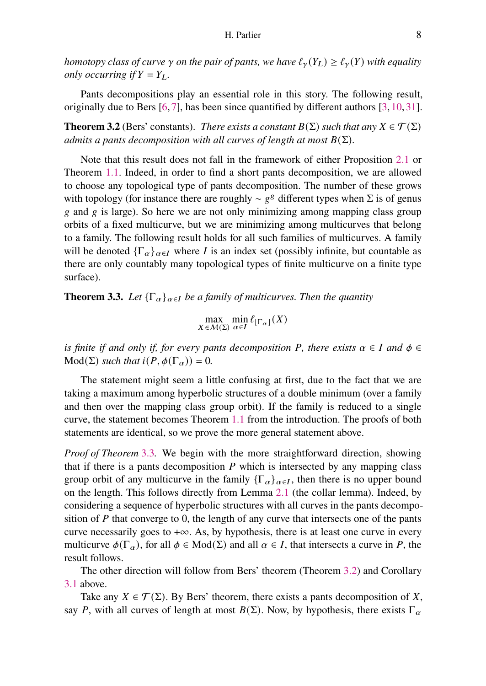*homotopy class of curve*  $\gamma$  *on the pair of pants, we have*  $\ell_{\gamma}(Y_L) \geq \ell_{\gamma}(Y)$  *with equality only occurring if*  $Y = Y_L$ .

Pants decompositions play an essential role in this story. The following result, originally due to Bers [\[6,](#page-10-8) [7\]](#page-10-9), has been since quantified by different authors [\[3,](#page-10-10) [10,](#page-10-11) [31\]](#page-11-7).

<span id="page-7-1"></span>**Theorem 3.2** (Bers' constants). *There exists a constant*  $B(\Sigma)$  *such that any*  $X \in \mathcal{T}(\Sigma)$ *admits a pants decomposition with all curves of length at most*  $B(\Sigma)$ *.* 

Note that this result does not fall in the framework of either Proposition [2.1](#page-3-0) or Theorem [1.1.](#page-1-0) Indeed, in order to find a short pants decomposition, we are allowed to choose any topological type of pants decomposition. The number of these grows with topology (for instance there are roughly  $\sim g^g$  different types when  $\Sigma$  is of genus  $\alpha$  and  $\alpha$  is large). So here we are not only minimizing among mapping class group orbits of a fixed multicurve, but we are minimizing among multicurves that belong to a family. The following result holds for all such families of multicurves. A family will be denoted  ${\{\Gamma_\alpha\}_{\alpha \in I}}$  where *I* is an index set (possibly infinite, but countable as there are only countably many topological types of finite multicurve on a finite type surface).

<span id="page-7-0"></span>**Theorem 3.3.** *Let*  ${\{\Gamma_\alpha\}_{\alpha \in I}}$  *be a family of multicurves. Then the quantity* 

$$
\max_{X \in \mathcal{M}(\Sigma)} \min_{\alpha \in I} \ell_{[\Gamma_{\alpha}]}(X)
$$

*is finite if and only if, for every pants decomposition* P, there exists  $\alpha \in I$  and  $\phi \in I$  $Mod(\Sigma)$  *such that*  $i(P, \phi(\Gamma_{\alpha})) = 0$ *.* 

The statement might seem a little confusing at first, due to the fact that we are taking a maximum among hyperbolic structures of a double minimum (over a family and then over the mapping class group orbit). If the family is reduced to a single curve, the statement becomes Theorem [1.1](#page-1-0) from the introduction. The proofs of both statements are identical, so we prove the more general statement above.

*Proof of Theorem* [3.3](#page-7-0)*.* We begin with the more straightforward direction, showing that if there is a pants decomposition  $P$  which is intersected by any mapping class group orbit of any multicurve in the family  $\{\Gamma_{\alpha}\}_{{\alpha}\in I}$ , then there is no upper bound on the length. This follows directly from Lemma [2.1](#page-2-0) (the collar lemma). Indeed, by considering a sequence of hyperbolic structures with all curves in the pants decomposition of  $P$  that converge to 0, the length of any curve that intersects one of the pants curve necessarily goes to  $+\infty$ . As, by hypothesis, there is at least one curve in every multicurve  $\phi(\Gamma_\alpha)$ , for all  $\phi \in Mod(\Sigma)$  and all  $\alpha \in I$ , that intersects a curve in P, the result follows.

The other direction will follow from Bers' theorem (Theorem [3.2\)](#page-7-1) and Corollary [3.1](#page-6-2) above.

Take any  $X \in \mathcal{T}(\Sigma)$ . By Bers' theorem, there exists a pants decomposition of X, say P, with all curves of length at most  $B(\Sigma)$ . Now, by hypothesis, there exists  $\Gamma_{\alpha}$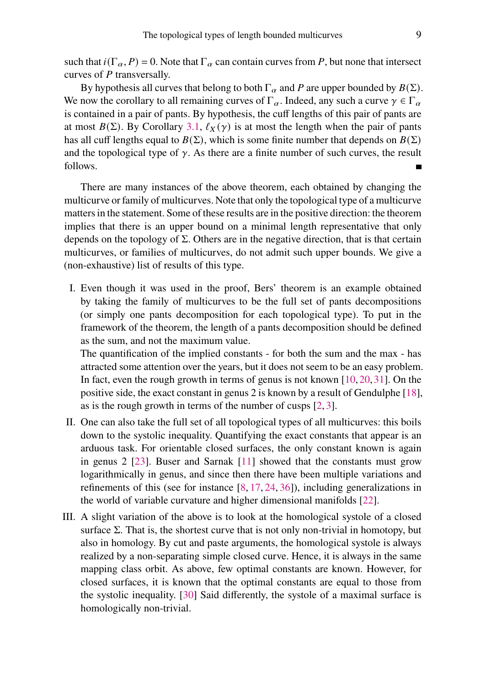such that  $i(\Gamma_{\alpha}, P) = 0$ . Note that  $\Gamma_{\alpha}$  can contain curves from P, but none that intersect curves of  $P$  transversally.

By hypothesis all curves that belong to both  $\Gamma_{\alpha}$  and P are upper bounded by  $B(\Sigma)$ . We now the corollary to all remaining curves of  $\Gamma_{\alpha}$ . Indeed, any such a curve  $\gamma \in \Gamma_{\alpha}$ is contained in a pair of pants. By hypothesis, the cuff lengths of this pair of pants are at most  $B(\Sigma)$ . By Corollary [3.1,](#page-6-2)  $\ell_X(\gamma)$  is at most the length when the pair of pants has all cuff lengths equal to  $B(\Sigma)$ , which is some finite number that depends on  $B(\Sigma)$ and the topological type of  $\gamma$ . As there are a finite number of such curves, the result follows.  $\blacksquare$ 

There are many instances of the above theorem, each obtained by changing the multicurve or family of multicurves. Note that only the topological type of a multicurve matters in the statement. Some of these results are in the positive direction: the theorem implies that there is an upper bound on a minimal length representative that only depends on the topology of  $\Sigma$ . Others are in the negative direction, that is that certain multicurves, or families of multicurves, do not admit such upper bounds. We give a (non-exhaustive) list of results of this type.

I. Even though it was used in the proof, Bers' theorem is an example obtained by taking the family of multicurves to be the full set of pants decompositions (or simply one pants decomposition for each topological type). To put in the framework of the theorem, the length of a pants decomposition should be defined as the sum, and not the maximum value.

The quantification of the implied constants - for both the sum and the max - has attracted some attention over the years, but it does not seem to be an easy problem. In fact, even the rough growth in terms of genus is not known [\[10,](#page-10-11)[20,](#page-11-8)[31\]](#page-11-7). On the positive side, the exact constant in genus 2 is known by a result of Gendulphe [\[18\]](#page-10-12), as is the rough growth in terms of the number of cusps [\[2,](#page-10-13) [3\]](#page-10-10).

- II. One can also take the full set of all topological types of all multicurves: this boils down to the systolic inequality. Quantifying the exact constants that appear is an arduous task. For orientable closed surfaces, the only constant known is again in genus 2 [\[23\]](#page-11-9). Buser and Sarnak [\[11\]](#page-10-14) showed that the constants must grow logarithmically in genus, and since then there have been multiple variations and refinements of this (see for instance  $[8, 17, 24, 36]$  $[8, 17, 24, 36]$  $[8, 17, 24, 36]$  $[8, 17, 24, 36]$  $[8, 17, 24, 36]$  $[8, 17, 24, 36]$  $[8, 17, 24, 36]$ ), including generalizations in the world of variable curvature and higher dimensional manifolds [\[22\]](#page-11-11).
- III. A slight variation of the above is to look at the homological systole of a closed surface  $\Sigma$ . That is, the shortest curve that is not only non-trivial in homotopy, but also in homology. By cut and paste arguments, the homological systole is always realized by a non-separating simple closed curve. Hence, it is always in the same mapping class orbit. As above, few optimal constants are known. However, for closed surfaces, it is known that the optimal constants are equal to those from the systolic inequality. [\[30\]](#page-11-12) Said differently, the systole of a maximal surface is homologically non-trivial.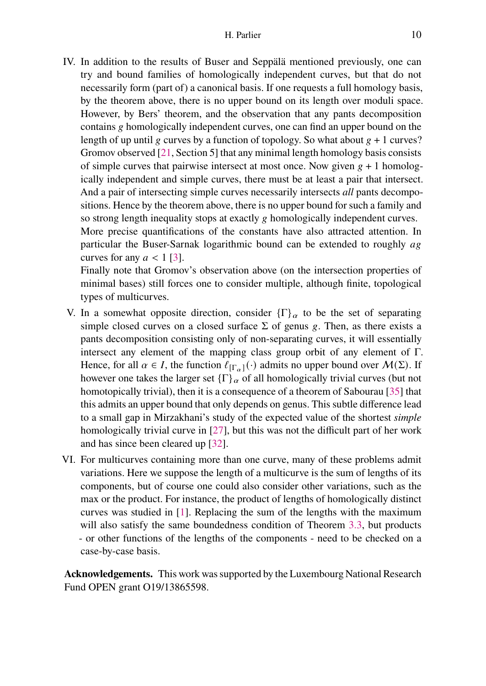IV. In addition to the results of Buser and Seppälä mentioned previously, one can try and bound families of homologically independent curves, but that do not necessarily form (part of) a canonical basis. If one requests a full homology basis, by the theorem above, there is no upper bound on its length over moduli space. However, by Bers' theorem, and the observation that any pants decomposition contains g homologically independent curves, one can find an upper bound on the length of up until g curves by a function of topology. So what about  $g + 1$  curves? Gromov observed [\[21,](#page-11-13) Section 5] that any minimal length homology basis consists of simple curves that pairwise intersect at most once. Now given  $g + 1$  homologically independent and simple curves, there must be at least a pair that intersect. And a pair of intersecting simple curves necessarily intersects *all* pants decompositions. Hence by the theorem above, there is no upper bound for such a family and so strong length inequality stops at exactly g homologically independent curves. More precise quantifications of the constants have also attracted attention. In particular the Buser-Sarnak logarithmic bound can be extended to roughly  $a\overline{g}$ curves for any  $a < 1$  [\[3\]](#page-10-10).

Finally note that Gromov's observation above (on the intersection properties of minimal bases) still forces one to consider multiple, although finite, topological types of multicurves.

- V. In a somewhat opposite direction, consider  ${\{\Gamma\}}_\alpha$  to be the set of separating simple closed curves on a closed surface  $\Sigma$  of genus g. Then, as there exists a pants decomposition consisting only of non-separating curves, it will essentially intersect any element of the mapping class group orbit of any element of  $\Gamma$ . Hence, for all  $\alpha \in I$ , the function  $\ell_{[\Gamma_\alpha]}(\cdot)$  admits no upper bound over  $\mathcal{M}(\Sigma)$ . If however one takes the larger set  ${\{\Gamma\}}_\alpha$  of all homologically trivial curves (but not homotopically trivial), then it is a consequence of a theorem of Sabourau [\[35\]](#page-11-14) that this admits an upper bound that only depends on genus. This subtle difference lead to a small gap in Mirzakhani's study of the expected value of the shortest *simple* homologically trivial curve in [\[27\]](#page-11-15), but this was not the difficult part of her work and has since been cleared up [\[32\]](#page-11-16).
- VI. For multicurves containing more than one curve, many of these problems admit variations. Here we suppose the length of a multicurve is the sum of lengths of its components, but of course one could also consider other variations, such as the max or the product. For instance, the product of lengths of homologically distinct curves was studied in [\[1\]](#page-10-17). Replacing the sum of the lengths with the maximum will also satisfy the same boundedness condition of Theorem [3.3,](#page-7-0) but products - or other functions of the lengths of the components - need to be checked on a case-by-case basis.

**Acknowledgements.** This work was supported by the Luxembourg National Research Fund OPEN grant O19/13865598.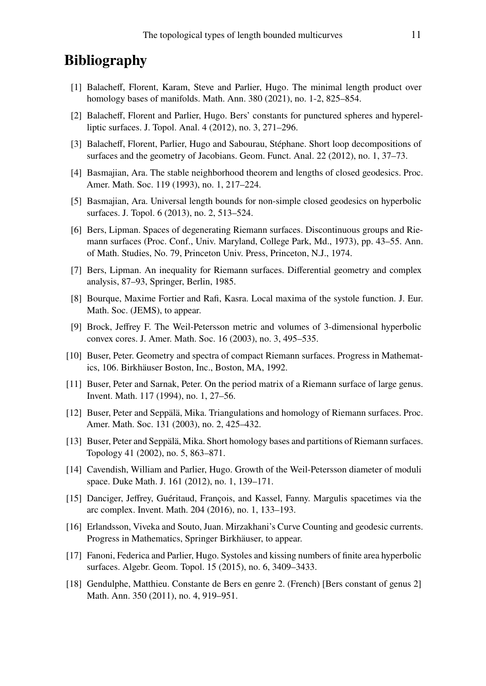## **Bibliography**

- <span id="page-10-17"></span>[1] Balacheff, Florent, Karam, Steve and Parlier, Hugo. The minimal length product over homology bases of manifolds. Math. Ann. 380 (2021), no. 1-2, 825–854.
- <span id="page-10-13"></span>[2] Balacheff, Florent and Parlier, Hugo. Bers' constants for punctured spheres and hyperelliptic surfaces. J. Topol. Anal. 4 (2012), no. 3, 271–296.
- <span id="page-10-10"></span>[3] Balacheff, Florent, Parlier, Hugo and Sabourau, Stéphane. Short loop decompositions of surfaces and the geometry of Jacobians. Geom. Funct. Anal. 22 (2012), no. 1, 37–73.
- <span id="page-10-3"></span>[4] Basmajian, Ara. The stable neighborhood theorem and lengths of closed geodesics. Proc. Amer. Math. Soc. 119 (1993), no. 1, 217–224.
- <span id="page-10-4"></span>[5] Basmajian, Ara. Universal length bounds for non-simple closed geodesics on hyperbolic surfaces. J. Topol. 6 (2013), no. 2, 513–524.
- <span id="page-10-8"></span>[6] Bers, Lipman. Spaces of degenerating Riemann surfaces. Discontinuous groups and Riemann surfaces (Proc. Conf., Univ. Maryland, College Park, Md., 1973), pp. 43–55. Ann. of Math. Studies, No. 79, Princeton Univ. Press, Princeton, N.J., 1974.
- <span id="page-10-9"></span>[7] Bers, Lipman. An inequality for Riemann surfaces. Differential geometry and complex analysis, 87–93, Springer, Berlin, 1985.
- <span id="page-10-15"></span>[8] Bourque, Maxime Fortier and Rafi, Kasra. Local maxima of the systole function. J. Eur. Math. Soc. (JEMS), to appear.
- <span id="page-10-1"></span>[9] Brock, Jeffrey F. The Weil-Petersson metric and volumes of 3-dimensional hyperbolic convex cores. J. Amer. Math. Soc. 16 (2003), no. 3, 495–535.
- <span id="page-10-11"></span>[10] Buser, Peter. Geometry and spectra of compact Riemann surfaces. Progress in Mathematics, 106. Birkhäuser Boston, Inc., Boston, MA, 1992.
- <span id="page-10-14"></span>[11] Buser, Peter and Sarnak, Peter. On the period matrix of a Riemann surface of large genus. Invent. Math. 117 (1994), no. 1, 27–56.
- <span id="page-10-5"></span>[12] Buser, Peter and Seppälä, Mika. Triangulations and homology of Riemann surfaces. Proc. Amer. Math. Soc. 131 (2003), no. 2, 425–432.
- <span id="page-10-6"></span>[13] Buser, Peter and Seppälä, Mika. Short homology bases and partitions of Riemann surfaces. Topology 41 (2002), no. 5, 863–871.
- <span id="page-10-2"></span>[14] Cavendish, William and Parlier, Hugo. Growth of the Weil-Petersson diameter of moduli space. Duke Math. J. 161 (2012), no. 1, 139–171.
- <span id="page-10-7"></span>[15] Danciger, Jeffrey, Guéritaud, François, and Kassel, Fanny. Margulis spacetimes via the arc complex. Invent. Math. 204 (2016), no. 1, 133–193.
- <span id="page-10-0"></span>[16] Erlandsson, Viveka and Souto, Juan. Mirzakhani's Curve Counting and geodesic currents. Progress in Mathematics, Springer Birkhäuser, to appear.
- <span id="page-10-16"></span>[17] Fanoni, Federica and Parlier, Hugo. Systoles and kissing numbers of finite area hyperbolic surfaces. Algebr. Geom. Topol. 15 (2015), no. 6, 3409–3433.
- <span id="page-10-12"></span>[18] Gendulphe, Matthieu. Constante de Bers en genre 2. (French) [Bers constant of genus 2] Math. Ann. 350 (2011), no. 4, 919–951.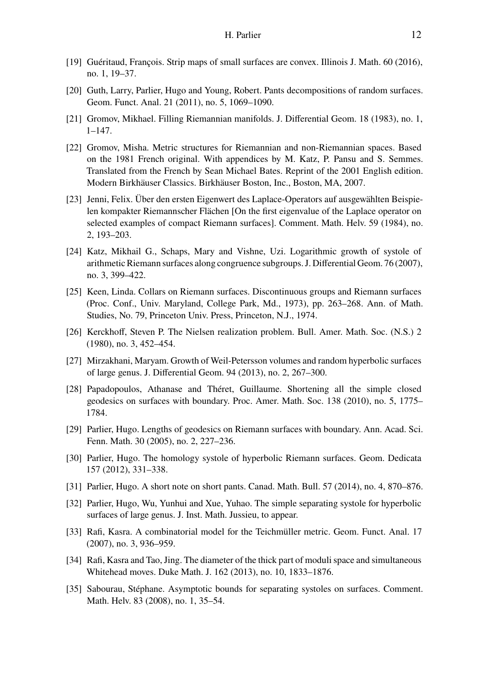- <span id="page-11-5"></span>[19] Guéritaud, François. Strip maps of small surfaces are convex. Illinois J. Math. 60 (2016), no. 1, 19–37.
- <span id="page-11-8"></span>[20] Guth, Larry, Parlier, Hugo and Young, Robert. Pants decompositions of random surfaces. Geom. Funct. Anal. 21 (2011), no. 5, 1069–1090.
- <span id="page-11-13"></span>[21] Gromov, Mikhael. Filling Riemannian manifolds. J. Differential Geom. 18 (1983), no. 1, 1–147.
- <span id="page-11-11"></span>[22] Gromov, Misha. Metric structures for Riemannian and non-Riemannian spaces. Based on the 1981 French original. With appendices by M. Katz, P. Pansu and S. Semmes. Translated from the French by Sean Michael Bates. Reprint of the 2001 English edition. Modern Birkhäuser Classics. Birkhäuser Boston, Inc., Boston, MA, 2007.
- <span id="page-11-9"></span>[23] Jenni, Felix. Über den ersten Eigenwert des Laplace-Operators auf ausgewählten Beispielen kompakter Riemannscher Flächen [On the first eigenvalue of the Laplace operator on selected examples of compact Riemann surfaces]. Comment. Math. Helv. 59 (1984), no. 2, 193–203.
- <span id="page-11-10"></span>[24] Katz, Mikhail G., Schaps, Mary and Vishne, Uzi. Logarithmic growth of systole of arithmetic Riemann surfaces along congruence subgroups. J. Differential Geom. 76 (2007), no. 3, 399–422.
- <span id="page-11-3"></span>[25] Keen, Linda. Collars on Riemann surfaces. Discontinuous groups and Riemann surfaces (Proc. Conf., Univ. Maryland, College Park, Md., 1973), pp. 263–268. Ann. of Math. Studies, No. 79, Princeton Univ. Press, Princeton, N.J., 1974.
- <span id="page-11-4"></span>[26] Kerckhoff, Steven P. The Nielsen realization problem. Bull. Amer. Math. Soc. (N.S.) 2 (1980), no. 3, 452–454.
- <span id="page-11-15"></span>[27] Mirzakhani, Maryam. Growth of Weil-Petersson volumes and random hyperbolic surfaces of large genus. J. Differential Geom. 94 (2013), no. 2, 267–300.
- <span id="page-11-0"></span>[28] Papadopoulos, Athanase and Théret, Guillaume. Shortening all the simple closed geodesics on surfaces with boundary. Proc. Amer. Math. Soc. 138 (2010), no. 5, 1775– 1784.
- <span id="page-11-6"></span>[29] Parlier, Hugo. Lengths of geodesics on Riemann surfaces with boundary. Ann. Acad. Sci. Fenn. Math. 30 (2005), no. 2, 227–236.
- <span id="page-11-12"></span>[30] Parlier, Hugo. The homology systole of hyperbolic Riemann surfaces. Geom. Dedicata 157 (2012), 331–338.
- <span id="page-11-7"></span>[31] Parlier, Hugo. A short note on short pants. Canad. Math. Bull. 57 (2014), no. 4, 870–876.
- <span id="page-11-16"></span>[32] Parlier, Hugo, Wu, Yunhui and Xue, Yuhao. The simple separating systole for hyperbolic surfaces of large genus. J. Inst. Math. Jussieu, to appear.
- <span id="page-11-1"></span>[33] Rafi, Kasra. A combinatorial model for the Teichmüller metric. Geom. Funct. Anal. 17 (2007), no. 3, 936–959.
- <span id="page-11-2"></span>[34] Rafi, Kasra and Tao, Jing. The diameter of the thick part of moduli space and simultaneous Whitehead moves. Duke Math. J. 162 (2013), no. 10, 1833–1876.
- <span id="page-11-14"></span>[35] Sabourau, Stéphane. Asymptotic bounds for separating systoles on surfaces. Comment. Math. Helv. 83 (2008), no. 1, 35–54.